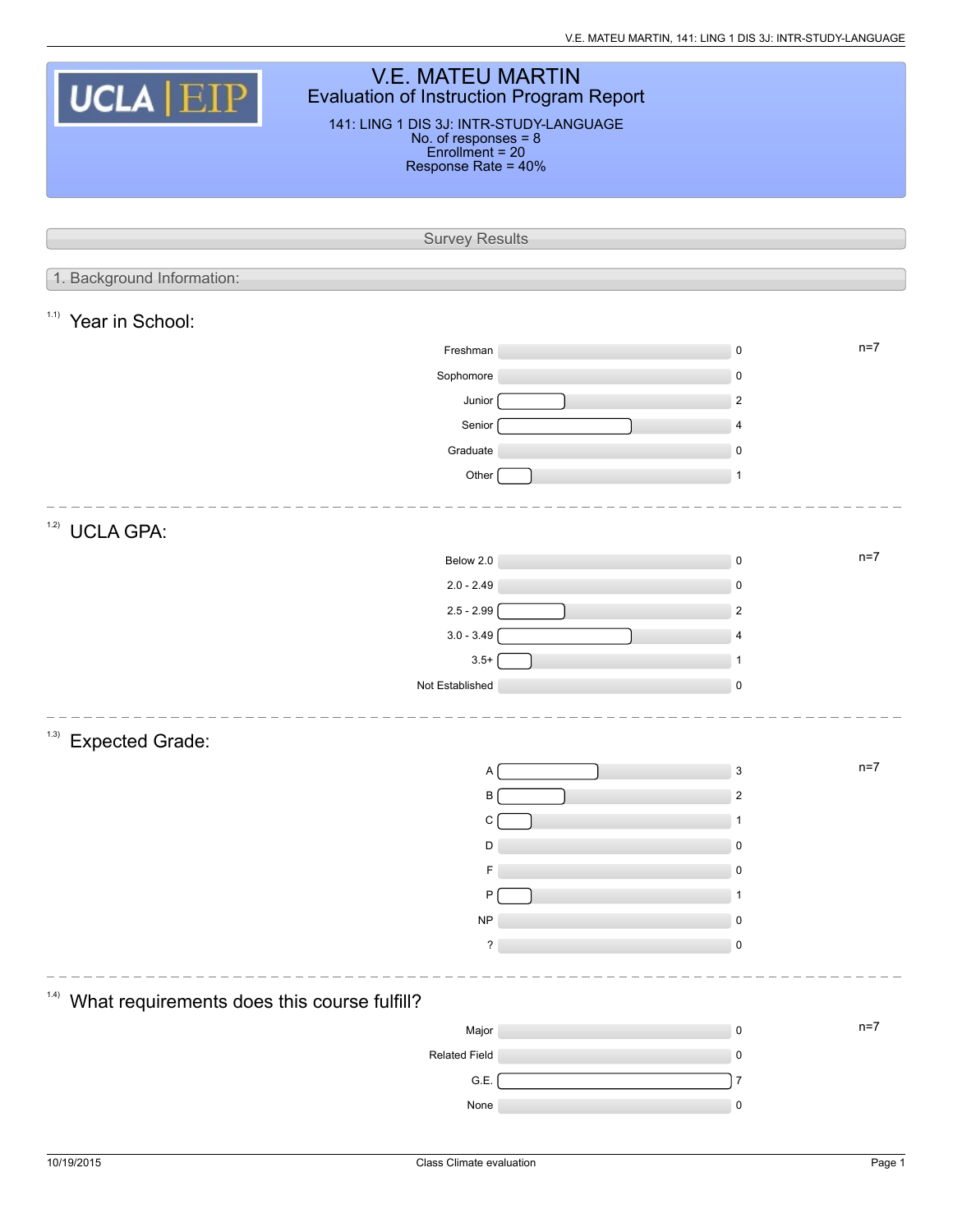| <b>V.E. MATEU MARTIN</b><br>UCLA EIP<br>Evaluation of Instruction Program Report<br>141: LING 1 DIS 3J: INTR-STUDY-LANGUAGE<br>No. of responses = 8<br>Enrollment = 20<br>Response Rate = 40% |  |                    |  |  |  |  |  |
|-----------------------------------------------------------------------------------------------------------------------------------------------------------------------------------------------|--|--------------------|--|--|--|--|--|
|                                                                                                                                                                                               |  |                    |  |  |  |  |  |
| <b>Survey Results</b>                                                                                                                                                                         |  |                    |  |  |  |  |  |
| 1. Background Information:                                                                                                                                                                    |  |                    |  |  |  |  |  |
| <sup>1.1)</sup> Year in School:                                                                                                                                                               |  |                    |  |  |  |  |  |
| Freshman                                                                                                                                                                                      |  | $n=7$<br>$\pmb{0}$ |  |  |  |  |  |
| Sophomore                                                                                                                                                                                     |  | $\mathsf 0$        |  |  |  |  |  |
| Junior                                                                                                                                                                                        |  | $\overline{2}$     |  |  |  |  |  |
| Senior                                                                                                                                                                                        |  | 4                  |  |  |  |  |  |
| Graduate                                                                                                                                                                                      |  | $\mathsf 0$        |  |  |  |  |  |
| Other                                                                                                                                                                                         |  | $\mathbf{1}$       |  |  |  |  |  |
| 1.2)<br><b>UCLA GPA:</b>                                                                                                                                                                      |  |                    |  |  |  |  |  |
| Below 2.0                                                                                                                                                                                     |  | $n=7$<br>$\pmb{0}$ |  |  |  |  |  |
| $2.0 - 2.49$                                                                                                                                                                                  |  | $\mathsf 0$        |  |  |  |  |  |
| $2.5 - 2.99$                                                                                                                                                                                  |  | $\overline{2}$     |  |  |  |  |  |
| $3.0 - 3.49$                                                                                                                                                                                  |  | 4                  |  |  |  |  |  |
| $3.5+$<br>Not Established                                                                                                                                                                     |  | 1<br>$\mathsf 0$   |  |  |  |  |  |
|                                                                                                                                                                                               |  |                    |  |  |  |  |  |
| (1.3)<br><b>Expected Grade:</b>                                                                                                                                                               |  |                    |  |  |  |  |  |
| Α                                                                                                                                                                                             |  | $n=7$<br>3         |  |  |  |  |  |
| B                                                                                                                                                                                             |  | $\overline{2}$     |  |  |  |  |  |
| C<br>D                                                                                                                                                                                        |  | 1<br>$\mathsf 0$   |  |  |  |  |  |
| F                                                                                                                                                                                             |  | 0                  |  |  |  |  |  |
| P                                                                                                                                                                                             |  | 1                  |  |  |  |  |  |
| <b>NP</b>                                                                                                                                                                                     |  | $\pmb{0}$          |  |  |  |  |  |
| ?                                                                                                                                                                                             |  | $\mathsf 0$        |  |  |  |  |  |
|                                                                                                                                                                                               |  |                    |  |  |  |  |  |
| (1.4)<br>What requirements does this course fulfill?                                                                                                                                          |  |                    |  |  |  |  |  |
| Major                                                                                                                                                                                         |  | $n=7$<br>$\pmb{0}$ |  |  |  |  |  |
| <b>Related Field</b>                                                                                                                                                                          |  | $\pmb{0}$          |  |  |  |  |  |
| G.E.                                                                                                                                                                                          |  | $\overline{7}$     |  |  |  |  |  |
| None                                                                                                                                                                                          |  | $\pmb{0}$          |  |  |  |  |  |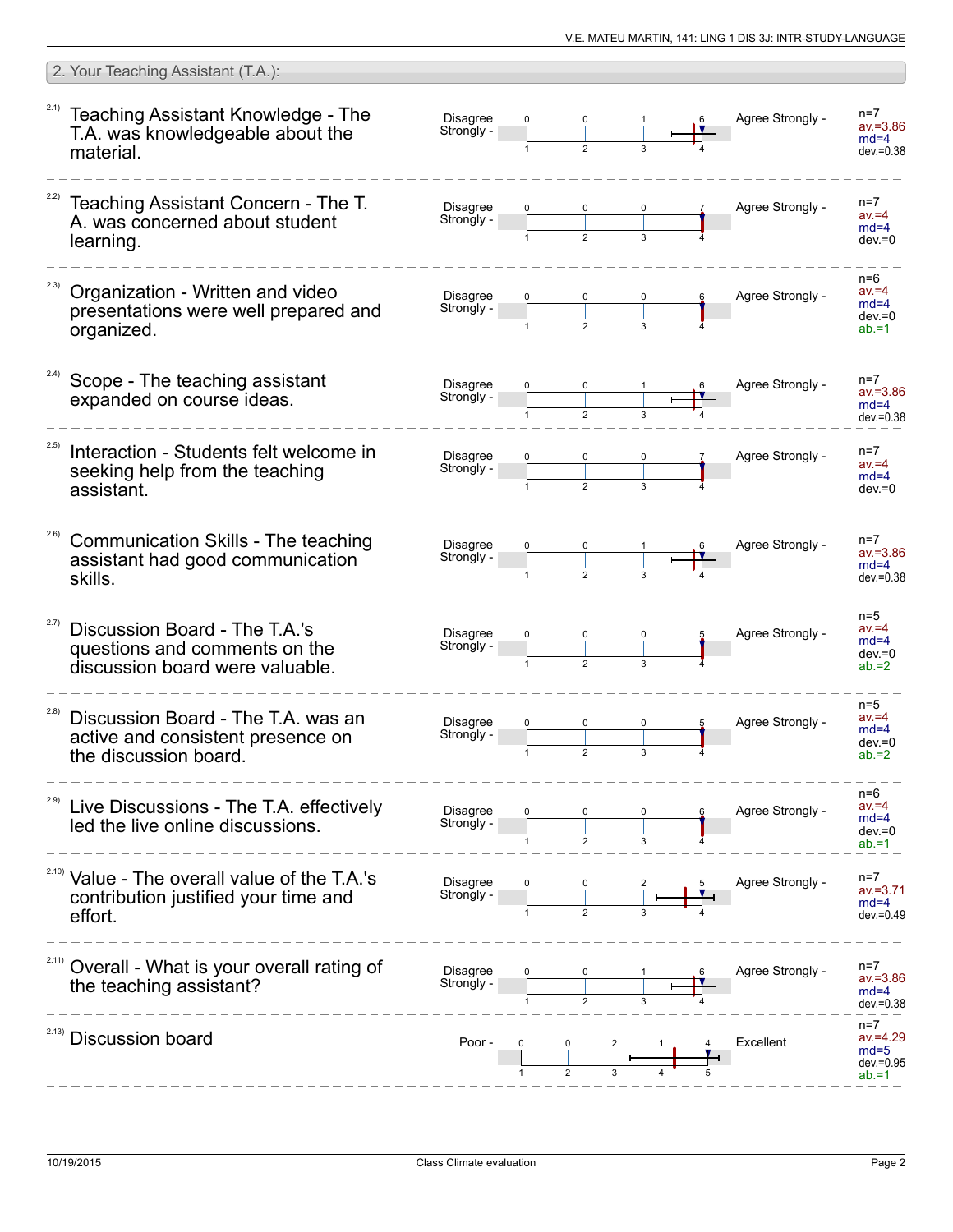|       | 2. Your Teaching Assistant (T.A.):                                                                          |                               |              |                |   |                  |                                                            |
|-------|-------------------------------------------------------------------------------------------------------------|-------------------------------|--------------|----------------|---|------------------|------------------------------------------------------------|
|       | <sup>2.1)</sup> Teaching Assistant Knowledge - The<br>T.A. was knowledgeable about the<br>material.         | <b>Disagree</b><br>Strongly - |              |                |   | Agree Strongly - | $n=7$<br>$av = 3.86$<br>$md=4$<br>$dev = 0.38$             |
|       | Teaching Assistant Concern - The T.<br>A. was concerned about student<br>learning.                          | <b>Disagree</b><br>Strongly - |              |                | 3 | Agree Strongly - | $n=7$<br>$av = 4$<br>$md=4$<br>$dev = 0$                   |
| 2.3)  | Organization - Written and video<br>presentations were well prepared and<br>organized.                      | Disagree<br>Strongly -        |              |                |   | Agree Strongly - | $n=6$<br>$av = 4$<br>$md=4$<br>$dev = 0$<br>$ab = 1$       |
| 2.4)  | Scope - The teaching assistant<br>expanded on course ideas.                                                 | <b>Disagree</b><br>Strongly - |              |                |   | Agree Strongly - | $n=7$<br>$av = 3.86$<br>$md=4$<br>$dev = 0.38$             |
| 2.5)  | Interaction - Students felt welcome in<br>seeking help from the teaching<br>assistant.                      | <b>Disagree</b><br>Strongly - |              | $\mathfrak{p}$ |   | Agree Strongly - | $n=7$<br>$av = 4$<br>$md=4$<br>$dev = 0$                   |
| 2.6)  | Communication Skills - The teaching<br>assistant had good communication<br>skills.                          | <b>Disagree</b><br>Strongly - |              |                |   | Agree Strongly - | $n=7$<br>$av = 3.86$<br>$md=4$<br>$dev = 0.38$             |
| 2.7)  | Discussion Board - The T.A.'s<br>questions and comments on the<br>discussion board were valuable.           | <b>Disagree</b><br>Strongly - | 0            | $\overline{2}$ | 3 | Agree Strongly - | $n=5$<br>$av = 4$<br>$md=4$<br>$dev = 0$<br>$ab = 2$       |
| (2.8) | Discussion Board - The T.A. was an<br>active and consistent presence on<br>the discussion board.            | <b>Disagree</b><br>Strongly - | $\mathbf{1}$ | $\mathbf 2$    | 3 | Agree Strongly - | $n=5$<br>$av = 4$<br>$md=4$<br>$dev = 0$<br>$ab = 2$       |
| 2.9)  | Live Discussions - The T.A. effectively<br>led the live online discussions.                                 | Disagree<br>Strongly -        |              |                |   | Agree Strongly - | $n=6$<br>$av = 4$<br>$md=4$<br>$dev = 0$<br>$ab = 1$       |
|       | <sup>2.10)</sup> Value - The overall value of the T.A.'s<br>contribution justified your time and<br>effort. | Disagree<br>Strongly -        |              |                |   | Agree Strongly - | $n=7$<br>$av = 3.71$<br>$md=4$<br>$dev = 0.49$             |
|       | Overall - What is your overall rating of<br>the teaching assistant?                                         | Disagree<br>Strongly -        |              |                |   | Agree Strongly - | $n=7$<br>$av = 3.86$<br>$md=4$<br>$dev = 0.38$             |
| 2.13) | <b>Discussion board</b>                                                                                     | Poor -                        |              |                |   | Excellent        | $n=7$<br>$av = 4.29$<br>$md=5$<br>$dev = 0.95$<br>$ab = 1$ |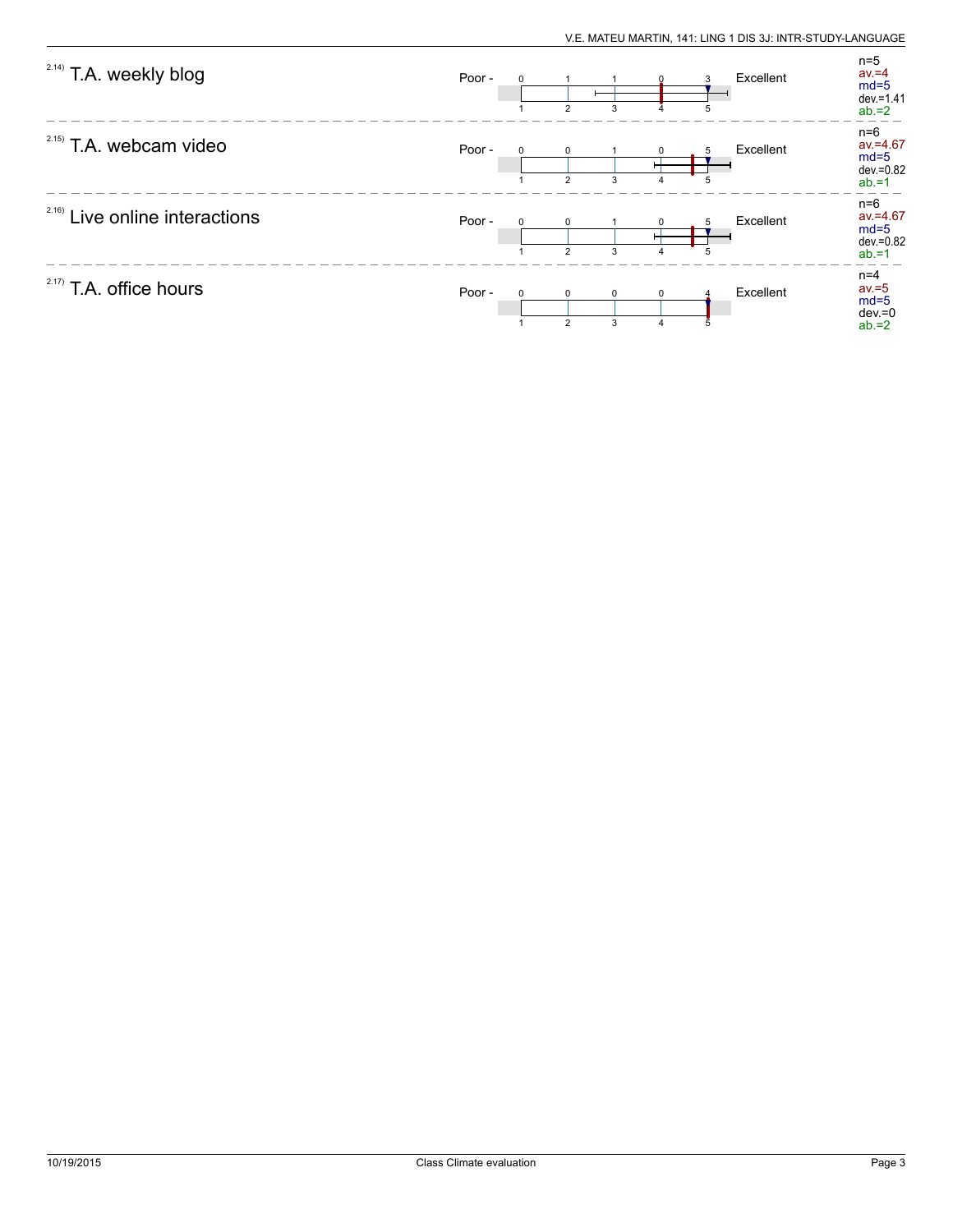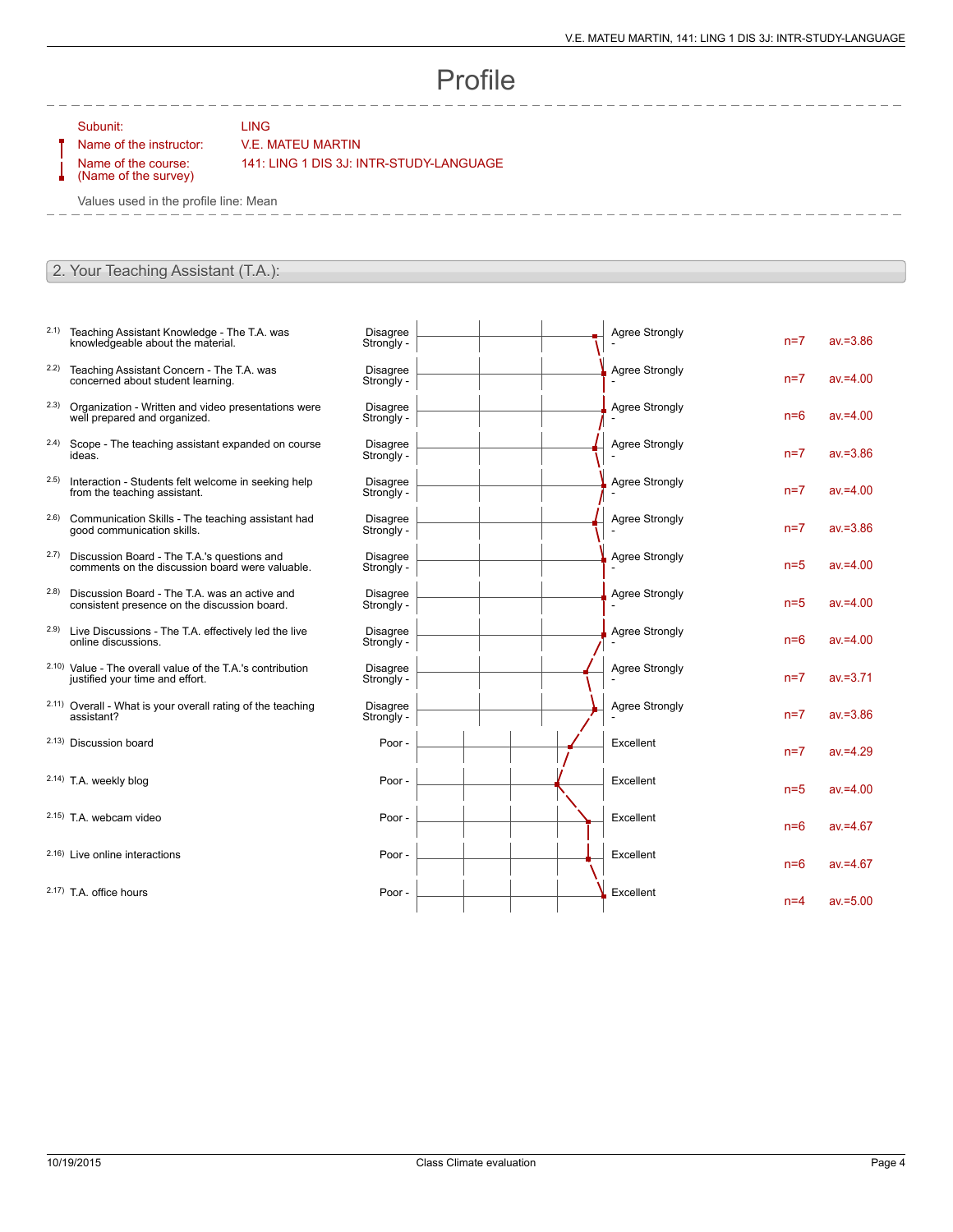## Profile

 $\mathbf{I}$ 

 $\mathbf{r}$ 

Subunit: LING

## Name of the instructor: V.E. MATEU MARTIN

Name of the course: (Name of the survey) 141: LING 1 DIS 3J: INTR-STUDY-LANGUAGE

Values used in the profile line: Mean

## 2. Your Teaching Assistant (T.A.):

- 2.1) Teaching Assistant Knowledge The T.A. was knowledgeable about the material.
- 2.2) Teaching Assistant Concern The T.A. was concerned about student learning.
- 2.3) Organization Written and video presentations were well prepared and organized.
- 2.4) Scope The teaching assistant expanded on course ideas.
- 2.5) Interaction Students felt welcome in seeking help from the teaching assistant.
- 2.6) Communication Skills The teaching assistant had good communication skills.
- 2.7) Discussion Board The T.A.'s questions and comments on the discussion board were valuable.
- 2.8) Discussion Board The T.A. was an active and consistent presence on the discussion board.
- 2.9) Live Discussions The T.A. effectively led the live online discussions.
- 2.10) Value The overall value of the T.A.'s contribution justified your time and effort.
- 2.11) Overall What is your overall rating of the teaching assistant?
- 2.13) Discussion board

2.14) T.A. weekly blog

- $2.15$ ) T.A. webcam video
- $2.16$ ) Live online interactions
- $2.17$ ) T.A. office hours

| Disagree<br>Strongly -        | <b>Agree Strongly</b> | $n=7$ | $av = 3.86$ |
|-------------------------------|-----------------------|-------|-------------|
| <b>Disagree</b><br>Strongly - | <b>Agree Strongly</b> | $n=7$ | $av = 4.00$ |
| <b>Disagree</b><br>Strongly - | <b>Agree Strongly</b> | $n=6$ | $av = 4.00$ |
| <b>Disagree</b><br>Strongly - | <b>Agree Strongly</b> | $n=7$ | $av = 3.86$ |
| <b>Disagree</b><br>Strongly - | <b>Agree Strongly</b> | $n=7$ | $av = 4.00$ |
| <b>Disagree</b><br>Strongly - | <b>Agree Strongly</b> | $n=7$ | $av = 3.86$ |
| <b>Disagree</b><br>Strongly - | <b>Agree Strongly</b> | $n=5$ | $av = 4.00$ |
| <b>Disagree</b><br>Strongly - | <b>Agree Strongly</b> | $n=5$ | $av = 4.00$ |
| <b>Disagree</b><br>Strongly - | <b>Agree Strongly</b> | $n=6$ | $av = 4.00$ |
| <b>Disagree</b><br>Strongly - | <b>Agree Strongly</b> | $n=7$ | $av = 3.71$ |
| <b>Disagree</b><br>Strongly - | <b>Agree Strongly</b> | $n=7$ | $av = 3.86$ |
| Poor -                        | Excellent             | $n=7$ | $av = 4.29$ |
| Poor -                        | Excellent             | $n=5$ | $av = 4.00$ |
| Poor -                        | Excellent             | $n=6$ | $av = 4.67$ |
| Poor -                        | Excellent             | $n=6$ | $av = 4.67$ |
| Poor -                        | Excellent             | $n=4$ | $av = 5.00$ |